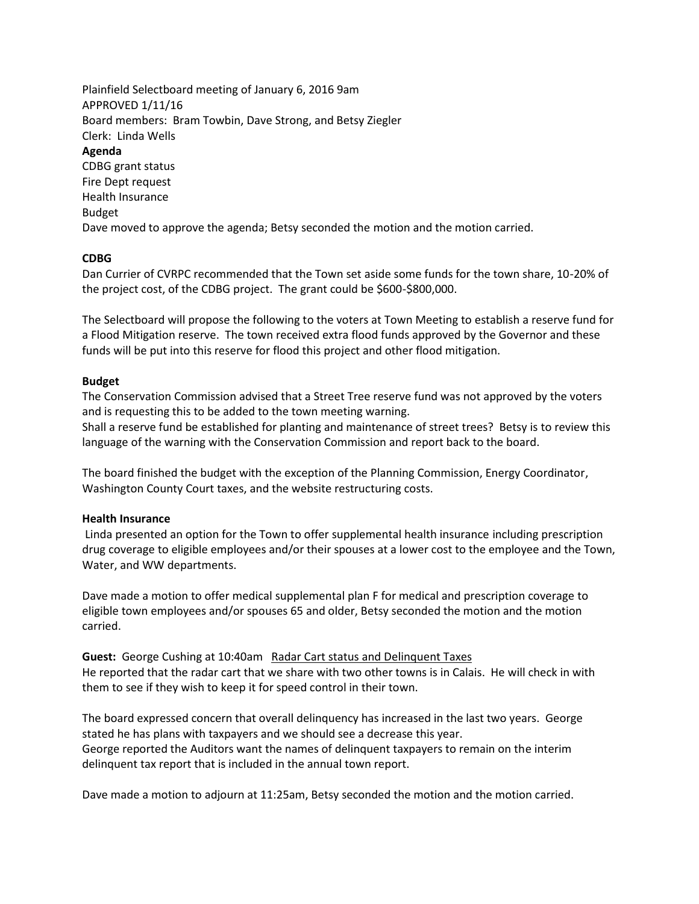Plainfield Selectboard meeting of January 6, 2016 9am APPROVED 1/11/16 Board members: Bram Towbin, Dave Strong, and Betsy Ziegler Clerk: Linda Wells **Agenda** CDBG grant status Fire Dept request Health Insurance Budget Dave moved to approve the agenda; Betsy seconded the motion and the motion carried.

## **CDBG**

Dan Currier of CVRPC recommended that the Town set aside some funds for the town share, 10-20% of the project cost, of the CDBG project. The grant could be \$600-\$800,000.

The Selectboard will propose the following to the voters at Town Meeting to establish a reserve fund for a Flood Mitigation reserve. The town received extra flood funds approved by the Governor and these funds will be put into this reserve for flood this project and other flood mitigation.

## **Budget**

The Conservation Commission advised that a Street Tree reserve fund was not approved by the voters and is requesting this to be added to the town meeting warning.

Shall a reserve fund be established for planting and maintenance of street trees? Betsy is to review this language of the warning with the Conservation Commission and report back to the board.

The board finished the budget with the exception of the Planning Commission, Energy Coordinator, Washington County Court taxes, and the website restructuring costs.

## **Health Insurance**

Linda presented an option for the Town to offer supplemental health insurance including prescription drug coverage to eligible employees and/or their spouses at a lower cost to the employee and the Town, Water, and WW departments.

Dave made a motion to offer medical supplemental plan F for medical and prescription coverage to eligible town employees and/or spouses 65 and older, Betsy seconded the motion and the motion carried.

**Guest:** George Cushing at 10:40am Radar Cart status and Delinquent Taxes He reported that the radar cart that we share with two other towns is in Calais. He will check in with them to see if they wish to keep it for speed control in their town.

The board expressed concern that overall delinquency has increased in the last two years. George stated he has plans with taxpayers and we should see a decrease this year. George reported the Auditors want the names of delinquent taxpayers to remain on the interim delinquent tax report that is included in the annual town report.

Dave made a motion to adjourn at 11:25am, Betsy seconded the motion and the motion carried.